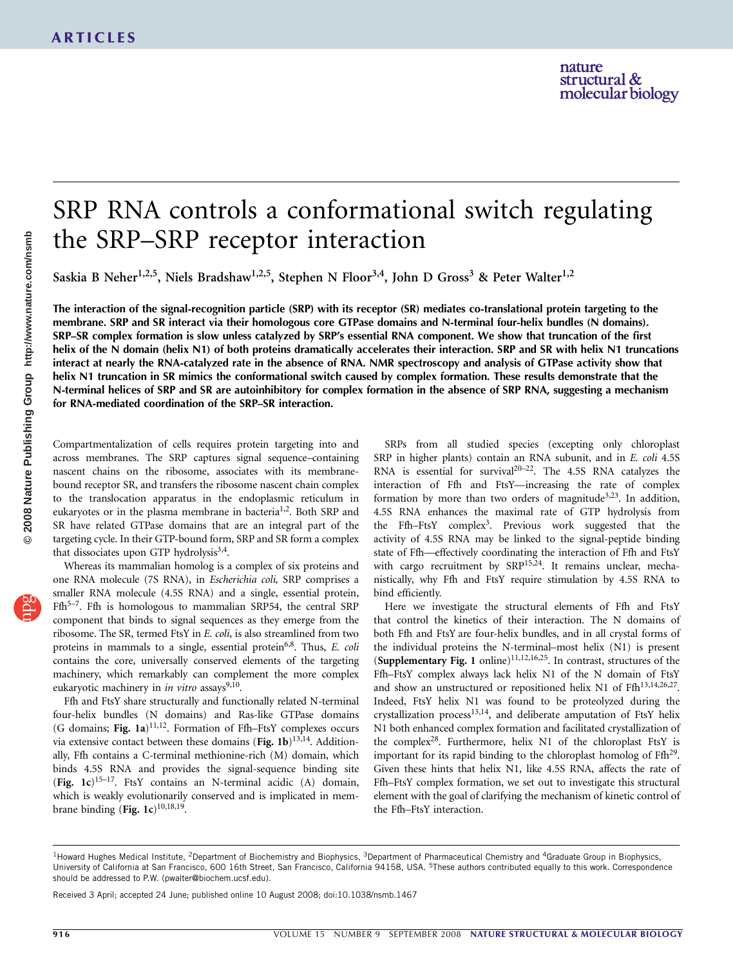# SRP RNA controls a conformational switch regulating the SRP–SRP receptor interaction

Saskia B Neher<sup>1,2,5</sup>, Niels Bradshaw<sup>1,2,5</sup>, Stephen N Floor<sup>3,4</sup>, John D Gross<sup>3</sup> & Peter Walter<sup>1,2</sup>

The interaction of the signal-recognition particle (SRP) with its receptor (SR) mediates co-translational protein targeting to the membrane. SRP and SR interact via their homologous core GTPase domains and N-terminal four-helix bundles (N domains). SRP–SR complex formation is slow unless catalyzed by SRP's essential RNA component. We show that truncation of the first helix of the N domain (helix N1) of both proteins dramatically accelerates their interaction. SRP and SR with helix N1 truncations interact at nearly the RNA-catalyzed rate in the absence of RNA. NMR spectroscopy and analysis of GTPase activity show that helix N1 truncation in SR mimics the conformational switch caused by complex formation. These results demonstrate that the N-terminal helices of SRP and SR are autoinhibitory for complex formation in the absence of SRP RNA, suggesting a mechanism for RNA-mediated coordination of the SRP–SR interaction.

Compartmentalization of cells requires protein targeting into and across membranes. The SRP captures signal sequence–containing nascent chains on the ribosome, associates with its membranebound receptor SR, and transfers the ribosome nascent chain complex to the translocation apparatus in the endoplasmic reticulum in eukaryotes or in the plasma membrane in bacteria<sup>[1,2](#page-6-0)</sup>. Both SRP and SR have related GTPase domains that are an integral part of the targeting cycle. In their GTP-bound form, SRP and SR form a complex that dissociates upon GTP hydrolysis<sup>3,4</sup>.

Whereas its mammalian homolog is a complex of six proteins and one RNA molecule (7S RNA), in Escherichia coli, SRP comprises a smaller RNA molecule (4.5S RNA) and a single, essential protein, Ffh<sup>5-7</sup>. Ffh is homologous to mammalian SRP54, the central SRP component that binds to signal sequences as they emerge from the ribosome. The SR, termed FtsY in E. coli, is also streamlined from two proteins in mammals to a single, essential protein<sup>6,8</sup>. Thus,  $E$ . *coli* contains the core, universally conserved elements of the targeting machinery, which remarkably can complement the more complex eukaryotic machinery in in vitro assays $9,10$ .

Ffh and FtsY share structurally and functionally related N-terminal four-helix bundles (N domains) and Ras-like GTPase domains (G domains; Fig. 1a) $^{11,12}$  $^{11,12}$  $^{11,12}$ . Formation of Ffh-FtsY complexes occurs via extensive contact between these domains (Fig. 1b) $^{13,14}$ . Additionally, Ffh contains a C-terminal methionine-rich (M) domain, which binds 4.5S RNA and provides the signal-sequence binding site (Fig. 1c)<sup>15–17</sup>. FtsY contains an N-terminal acidic (A) domain, which is weakly evolutionarily conserved and is implicated in membrane binding (Fig. 1c)<sup>10,18,19</sup>.

SRPs from all studied species (excepting only chloroplast SRP in higher plants) contain an RNA subunit, and in E. coli 4.5S RNA is essential for survival<sup>20-22</sup>. The 4.5S RNA catalyzes the interaction of Ffh and FtsY—increasing the rate of complex formation by more than two orders of magnitude<sup>3,23</sup>. In addition, 4.5S RNA enhances the maximal rate of GTP hydrolysis from the Ffh–FtsY complex<sup>3</sup>. Previous work suggested that the activity of 4.5S RNA may be linked to the signal-peptide binding state of Ffh—effectively coordinating the interaction of Ffh and FtsY with cargo recruitment by SRP<sup>15,24</sup>. It remains unclear, mechanistically, why Ffh and FtsY require stimulation by 4.5S RNA to bind efficiently.

Here we investigate the structural elements of Ffh and FtsY that control the kinetics of their interaction. The N domains of both Ffh and FtsY are four-helix bundles, and in all crystal forms of the individual proteins the N-terminal–most helix (N1) is present (Supplementary Fig. 1 online)<sup>11,12,16,25</sup>. In contrast, structures of the Ffh–FtsY complex always lack helix N1 of the N domain of FtsY and show an unstructured or repositioned helix N1 of Ffh<sup>13,14,26,27</sup>. Indeed, FtsY helix N1 was found to be proteolyzed during the crystallization process<sup>13,14</sup>, and deliberate amputation of FtsY helix N1 both enhanced complex formation and facilitated crystallization of the complex<sup>28</sup>. Furthermore, helix N1 of the chloroplast FtsY is important for its rapid binding to the chloroplast homolog of  $Ffh^{29}$ . Given these hints that helix N1, like 4.5S RNA, affects the rate of Ffh–FtsY complex formation, we set out to investigate this structural element with the goal of clarifying the mechanism of kinetic control of the Ffh–FtsY interaction.

Received 3 April; accepted 24 June; published online 10 August 2008; [doi:10.1038/nsmb.1467](http://www.nature.com/doifinder/10.1038/nsmb.1467)

<sup>&</sup>lt;sup>1</sup>Howard Hughes Medical Institute, <sup>2</sup>Department of Biochemistry and Biophysics, <sup>3</sup>Department of Pharmaceutical Chemistry and <sup>4</sup>Graduate Group in Biophysics, University of California at San Francisco, 600 16th Street, San Francisco, California 94158, USA. 5These authors contributed equally to this work. Correspondence should be addressed to P.W. ([pwalter@biochem.ucsf.edu](mailto:pwalter@biochem.ucsf.edu)).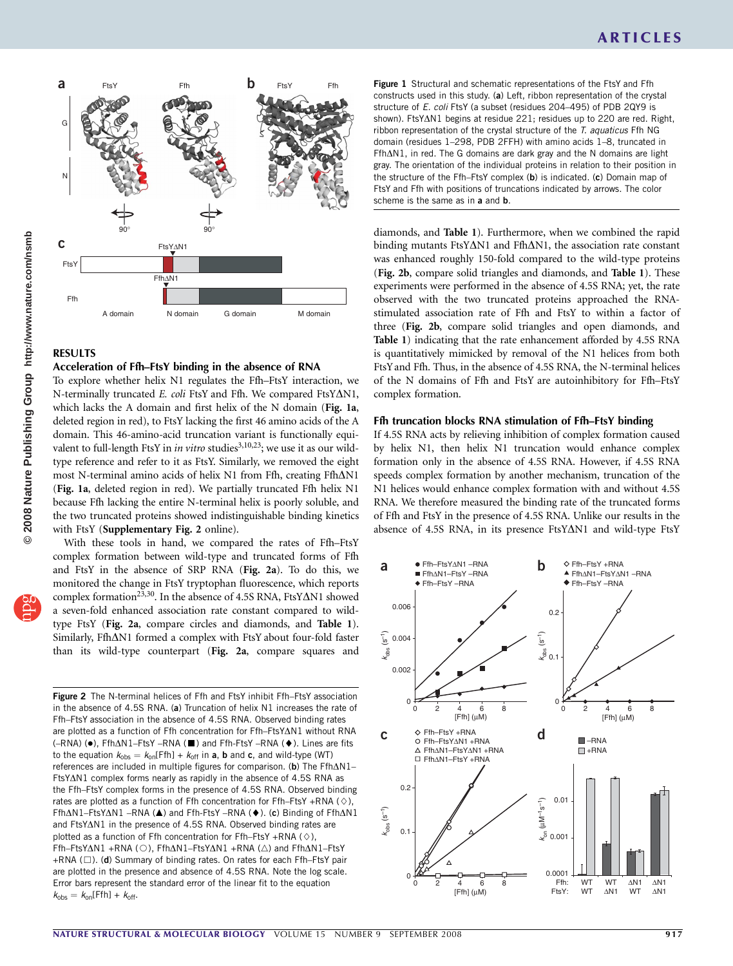

# RESULTS

## Acceleration of Ffh–FtsY binding in the absence of RNA

To explore whether helix N1 regulates the Ffh–FtsY interaction, we N-terminally truncated E. coli FtsY and Ffh. We compared FtsY $\Delta$ N1, which lacks the A domain and first helix of the N domain (Fig. 1a, deleted region in red), to FtsY lacking the first 46 amino acids of the A domain. This 46-amino-acid truncation variant is functionally equivalent to full-length FtsY in *in vitro* studies<sup>3,10,23</sup>; we use it as our wildtype reference and refer to it as FtsY. Similarly, we removed the eight most N-terminal amino acids of helix N1 from Ffh, creating Ffh $\Delta$ N1 (Fig. 1a, deleted region in red). We partially truncated Ffh helix N1 because Ffh lacking the entire N-terminal helix is poorly soluble, and the two truncated proteins showed indistinguishable binding kinetics with FtsY (Supplementary Fig. 2 online).

With these tools in hand, we compared the rates of Ffh–FtsY complex formation between wild-type and truncated forms of Ffh and FtsY in the absence of SRP RNA (Fig. 2a). To do this, we monitored the change in FtsY tryptophan fluorescence, which reports complex formation<sup>[23,30](#page-7-0)</sup>. In the absence of 4.5S RNA, FtsY $\Delta$ N1 showed a seven-fold enhanced association rate constant compared to wildtype FtsY (Fig. 2a, compare circles and diamonds, and Table 1). Similarly, Ffh $\Delta$ N1 formed a complex with FtsY about four-fold faster than its wild-type counterpart (Fig. 2a, compare squares and

Figure 2 The N-terminal helices of Ffh and FtsY inhibit Ffh–FtsY association in the absence of 4.5S RNA. (a) Truncation of helix N1 increases the rate of Ffh–FtsY association in the absence of 4.5S RNA. Observed binding rates are plotted as a function of Ffh concentration for Ffh–FtsYAN1 without RNA (-RNA) (●), Ffh∆N1-FtsY -RNA (■) and Ffh-FtsY -RNA (◆). Lines are fits to the equation  $k_{obs} = k_{on}$ [Ffh] +  $k_{off}$  in a, b and c, and wild-type (WT) references are included in multiple figures for comparison. (b) The  $Ffh\Delta N1 FtsY\Delta N1$  complex forms nearly as rapidly in the absence of 4.5S RNA as the Ffh–FtsY complex forms in the presence of 4.5S RNA. Observed binding rates are plotted as a function of Ffh concentration for Ffh–FtsY +RNA ( $\diamond$ ), Ffh∆N1–FtsY∆N1 –RNA (▲) and Ffh-FtsY –RNA (◆). (c) Binding of Ffh∆N1 and  $FtsY\Delta N1$  in the presence of 4.5S RNA. Observed binding rates are plotted as a function of Ffh concentration for Ffh–FtsY +RNA ( $\diamond$ ), Ffh-FtsYAN1 +RNA (O), FfhAN1-FtsYAN1 +RNA (A) and FfhAN1-FtsY +RNA ( $\square$ ). (d) Summary of binding rates. On rates for each Ffh–FtsY pair are plotted in the presence and absence of 4.5S RNA. Note the log scale. Error bars represent the standard error of the linear fit to the equation  $k_{\text{obs}} = k_{\text{on}}[\text{Ffh}] + k_{\text{off}}.$ 

Figure 1 Structural and schematic representations of the FtsY and Ffh constructs used in this study. (a) Left, ribbon representation of the crystal structure of E. coli FtsY (a subset (residues 204-495) of PDB 2QY9 is shown). FtsYAN1 begins at residue 221; residues up to 220 are red. Right, ribbon representation of the crystal structure of the T. aquaticus Ffh NG domain (residues 1–298, PDB 2FFH) with amino acids 1–8, truncated in  $Ffh\Delta N1$ , in red. The G domains are dark gray and the N domains are light gray. The orientation of the individual proteins in relation to their position in the structure of the Ffh–FtsY complex (b) is indicated. (c) Domain map of FtsY and Ffh with positions of truncations indicated by arrows. The color scheme is the same as in a and **b**.

diamonds, and Table 1). Furthermore, when we combined the rapid binding mutants FtsY $\Delta$ N1 and Ffh $\Delta$ N1, the association rate constant was enhanced roughly 150-fold compared to the wild-type proteins (Fig. 2b, compare solid triangles and diamonds, and Table 1). These experiments were performed in the absence of 4.5S RNA; yet, the rate observed with the two truncated proteins approached the RNAstimulated association rate of Ffh and FtsY to within a factor of three (Fig. 2b, compare solid triangles and open diamonds, and Table 1) indicating that the rate enhancement afforded by 4.5S RNA is quantitatively mimicked by removal of the N1 helices from both FtsYand Ffh. Thus, in the absence of 4.5S RNA, the N-terminal helices of the N domains of Ffh and FtsY are autoinhibitory for Ffh–FtsY complex formation.

### Ffh truncation blocks RNA stimulation of Ffh–FtsY binding

If 4.5S RNA acts by relieving inhibition of complex formation caused by helix N1, then helix N1 truncation would enhance complex formation only in the absence of 4.5S RNA. However, if 4.5S RNA speeds complex formation by another mechanism, truncation of the N1 helices would enhance complex formation with and without 4.5S RNA. We therefore measured the binding rate of the truncated forms of Ffh and FtsY in the presence of 4.5S RNA. Unlike our results in the absence of 4.5S RNA, in its presence FtsY $\Delta$ N1 and wild-type FtsY

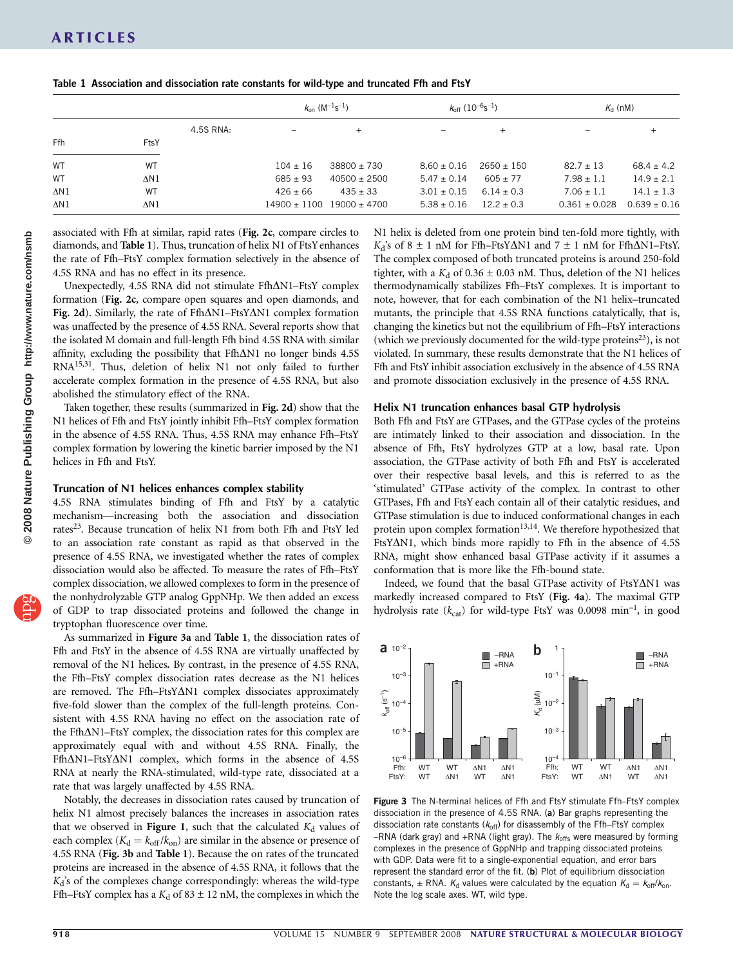|             |      |           | $k_{on}$ (M <sup>-1</sup> s <sup>-1</sup> ) |                             | $k_{\rm off}$ (10 <sup>-6</sup> s <sup>-1</sup> ) |                | $K_{\rm d}$ (nM)                |                  |
|-------------|------|-----------|---------------------------------------------|-----------------------------|---------------------------------------------------|----------------|---------------------------------|------------------|
|             |      | 4.5S RNA: | $\qquad \qquad -$                           | $+$                         | $\overline{\phantom{m}}$                          | $^{+}$         | $\hspace{0.1mm}-\hspace{0.1mm}$ | $^{+}$           |
| Ffh         | FtsY |           |                                             |                             |                                                   |                |                                 |                  |
| <b>WT</b>   | WT   |           | $104 \pm 16$                                | $38800 \pm 730$             | $8.60 \pm 0.16$                                   | $2650 + 150$   | $82.7 \pm 13$                   | $68.4 + 4.2$     |
| <b>WT</b>   | ΔN1  |           | $685 \pm 93$                                | $40500 \pm 2500$            | $5.47 \pm 0.14$                                   | $605 + 77$     | $7.98 \pm 1.1$                  | $14.9 \pm 2.1$   |
| $\Delta N1$ | WT   |           | $426 \pm 66$                                | $435 \pm 33$                | $3.01 \pm 0.15$                                   | $6.14 \pm 0.3$ | $7.06 \pm 1.1$                  | $14.1 \pm 1.3$   |
| $\Delta N1$ | ΔN1  |           |                                             | $14900 + 1100$ 19000 + 4700 | $5.38 \pm 0.16$                                   | $12.2 \pm 0.3$ | $0.361 \pm 0.028$               | $0.639 \pm 0.16$ |

Table 1 Association and dissociation rate constants for wild-type and truncated Ffh and FtsY

associated with Ffh at similar, rapid rates (Fig. 2c, compare circles to diamonds, and Table 1). Thus, truncation of helix N1 of FtsYenhances the rate of Ffh–FtsY complex formation selectively in the absence of 4.5S RNA and has no effect in its presence.

Unexpectedly, 4.5S RNA did not stimulate  $Ffh\Delta N1-FtsY$  complex formation (Fig. 2c, compare open squares and open diamonds, and Fig. 2d). Similarly, the rate of Ffh $\Delta$ N1-FtsY $\Delta$ N1 complex formation was unaffected by the presence of 4.5S RNA. Several reports show that the isolated M domain and full-length Ffh bind 4.5S RNA with similar affinity, excluding the possibility that  $Ffh\Delta N1$  no longer binds 4.5S RN[A15,31.](#page-7-0) Thus, deletion of helix N1 not only failed to further accelerate complex formation in the presence of 4.5S RNA, but also abolished the stimulatory effect of the RNA.

Taken together, these results (summarized in Fig. 2d) show that the N1 helices of Ffh and FtsY jointly inhibit Ffh–FtsY complex formation in the absence of 4.5S RNA. Thus, 4.5S RNA may enhance Ffh–FtsY complex formation by lowering the kinetic barrier imposed by the N1 helices in Ffh and FtsY.

### Truncation of N1 helices enhances complex stability

4.5S RNA stimulates binding of Ffh and FtsY by a catalytic mechanism—increasing both the association and dissociation rates<sup>23</sup>. Because truncation of helix N1 from both Ffh and FtsY led to an association rate constant as rapid as that observed in the presence of 4.5S RNA, we investigated whether the rates of complex dissociation would also be affected. To measure the rates of Ffh–FtsY complex dissociation, we allowed complexes to form in the presence of the nonhydrolyzable GTP analog GppNHp. We then added an excess of GDP to trap dissociated proteins and followed the change in tryptophan fluorescence over time.

As summarized in Figure 3a and Table 1, the dissociation rates of Ffh and FtsY in the absence of 4.5S RNA are virtually unaffected by removal of the N1 helices. By contrast, in the presence of 4.5S RNA, the Ffh–FtsY complex dissociation rates decrease as the N1 helices are removed. The Ffh-FtsY $\Delta$ N1 complex dissociates approximately five-fold slower than the complex of the full-length proteins. Consistent with 4.5S RNA having no effect on the association rate of the Ffh $\Delta$ N1–FtsY complex, the dissociation rates for this complex are approximately equal with and without 4.5S RNA. Finally, the  $Ffh\Delta N1-FtsY\Delta N1$  complex, which forms in the absence of 4.5S RNA at nearly the RNA-stimulated, wild-type rate, dissociated at a rate that was largely unaffected by 4.5S RNA.

Notably, the decreases in dissociation rates caused by truncation of helix N1 almost precisely balances the increases in association rates that we observed in Figure 1, such that the calculated  $K_d$  values of each complex ( $K_d = k_{off}/k_{on}$ ) are similar in the absence or presence of 4.5S RNA (Fig. 3b and Table 1). Because the on rates of the truncated proteins are increased in the absence of 4.5S RNA, it follows that the  $K_d$ 's of the complexes change correspondingly: whereas the wild-type Ffh–FtsY complex has a  $K_d$  of 83  $\pm$  12 nM, the complexes in which the

N1 helix is deleted from one protein bind ten-fold more tightly, with  $K_d$ 's of 8  $\pm$  1 nM for Ffh–FtsY $\Delta$ N1 and 7  $\pm$  1 nM for Ffh $\Delta$ N1–FtsY. The complex composed of both truncated proteins is around 250-fold tighter, with a  $K_d$  of 0.36  $\pm$  0.03 nM. Thus, deletion of the N1 helices thermodynamically stabilizes Ffh–FtsY complexes. It is important to note, however, that for each combination of the N1 helix–truncated mutants, the principle that 4.5S RNA functions catalytically, that is, changing the kinetics but not the equilibrium of Ffh–FtsY interactions (which we previously documented for the wild-type proteins $^{23}$ ), is not violated. In summary, these results demonstrate that the N1 helices of Ffh and FtsY inhibit association exclusively in the absence of 4.5S RNA and promote dissociation exclusively in the presence of 4.5S RNA.

### Helix N1 truncation enhances basal GTP hydrolysis

Both Ffh and FtsY are GTPases, and the GTPase cycles of the proteins are intimately linked to their association and dissociation. In the absence of Ffh, FtsY hydrolyzes GTP at a low, basal rate. Upon association, the GTPase activity of both Ffh and FtsY is accelerated over their respective basal levels, and this is referred to as the 'stimulated' GTPase activity of the complex. In contrast to other GTPases, Ffh and FtsY each contain all of their catalytic residues, and GTPase stimulation is due to induced conformational changes in each protein upon complex formation<sup>13,14</sup>. We therefore hypothesized that FtsY $\Delta$ N1, which binds more rapidly to Ffh in the absence of 4.5S RNA, might show enhanced basal GTPase activity if it assumes a conformation that is more like the Ffh-bound state.

Indeed, we found that the basal GTPase activity of FtsY $\Delta$ N1 was markedly increased compared to FtsY (Fig. 4a). The maximal GTP hydrolysis rate  $(k_{cat})$  for wild-type FtsY was 0.0098 min<sup>-1</sup>, in good



Figure 3 The N-terminal helices of Ffh and FtsY stimulate Ffh–FtsY complex dissociation in the presence of 4.5S RNA. (a) Bar graphs representing the dissociation rate constants ( $k_{off}$ ) for disassembly of the Ffh–FtsY complex  $-RNA$  (dark gray) and  $+RNA$  (light gray). The  $k_{offs}$  were measured by forming complexes in the presence of GppNHp and trapping dissociated proteins with GDP. Data were fit to a single-exponential equation, and error bars represent the standard error of the fit. (b) Plot of equilibrium dissociation constants,  $\pm$  RNA.  $K_d$  values were calculated by the equation  $K_d = k_{off}/k_{on}$ . Note the log scale axes. WT, wild type.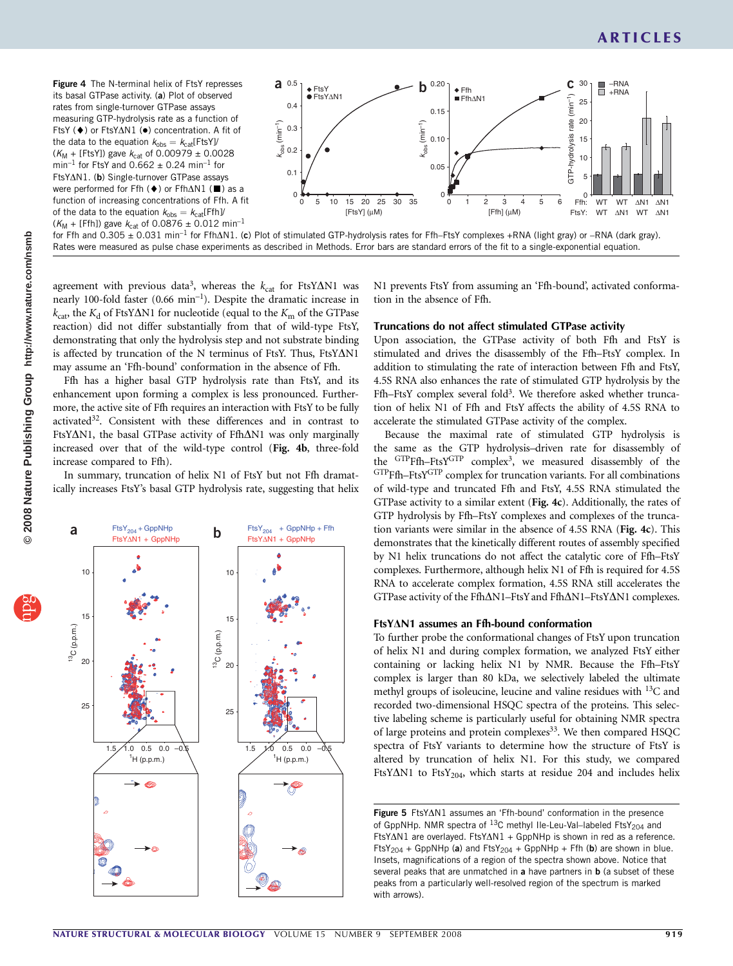Figure 4 The N-terminal helix of FtsY represses its basal GTPase activity. (a) Plot of observed rates from single-turnover GTPase assays measuring GTP-hydrolysis rate as a function of FtsY (♦) or FtsYAN1 (●) concentration. A fit of the data to the equation  $k_{obs} = k_{cat}$ [FtsY]/  $(K_M + [FtsY])$  gave  $k_{cat}$  of 0.00979  $\pm$  0.0028  $min^{-1}$  for FtsY and  $0.662 \pm 0.24$  min<sup>-1</sup> for  $FtsY\Delta N1.$  (b) Single-turnover GTPase assays were performed for Ffh  $(\blacklozenge)$  or Ffh $\Delta$ N1 ( $\blacksquare$ ) as a function of increasing concentrations of Ffh. A fit of the data to the equation  $k_{\text{obs}} = k_{\text{cat}}[Ffh]$  $(K_M + [Ffh])$  gave  $k_{cat}$  of 0.0876  $\pm$  0.012 min<sup>-1</sup>



for Ffh and  $0.305 \pm 0.031$  min<sup>-1</sup> for Ffh $\Delta$ N1. (c) Plot of stimulated GTP-hydrolysis rates for Ffh–FtsY complexes +RNA (light gray) or –RNA (dark gray). Rates were measured as pulse chase experiments as described in Methods. Error bars are standard errors of the fit to a single-exponential equation.

agreement with previous data<sup>3</sup>, whereas the  $k_{\text{cat}}$  for FtsY $\Delta$ N1 was nearly 100-fold faster  $(0.66 \text{ min}^{-1})$ . Despite the dramatic increase in  $k_{\text{cat}}$ , the  $K_{\text{d}}$  of FtsY $\Delta$ N1 for nucleotide (equal to the  $K_{\text{m}}$  of the GTPase reaction) did not differ substantially from that of wild-type FtsY, demonstrating that only the hydrolysis step and not substrate binding is affected by truncation of the N terminus of FtsY. Thus, FtsY $\Delta$ N1 may assume an 'Ffh-bound' conformation in the absence of Ffh.

Ffh has a higher basal GTP hydrolysis rate than FtsY, and its enhancement upon forming a complex is less pronounced. Furthermore, the active site of Ffh requires an interaction with FtsY to be fully activated<sup>32</sup>. Consistent with these differences and in contrast to FtsY $\Delta$ N1, the basal GTPase activity of Ffh $\Delta$ N1 was only marginally increased over that of the wild-type control (Fig. 4b, three-fold increase compared to Ffh).

In summary, truncation of helix N1 of FtsY but not Ffh dramatically increases FtsY's basal GTP hydrolysis rate, suggesting that helix



N1 prevents FtsY from assuming an 'Ffh-bound', activated conformation in the absence of Ffh.

### Truncations do not affect stimulated GTPase activity

Upon association, the GTPase activity of both Ffh and FtsY is stimulated and drives the disassembly of the Ffh–FtsY complex. In addition to stimulating the rate of interaction between Ffh and FtsY, 4.5S RNA also enhances the rate of stimulated GTP hydrolysis by the Ffh–FtsY complex several fold<sup>3</sup>. We therefore asked whether truncation of helix N1 of Ffh and FtsY affects the ability of 4.5S RNA to accelerate the stimulated GTPase activity of the complex.

Because the maximal rate of stimulated GTP hydrolysis is the same as the GTP hydrolysis–driven rate for disassembly of the GTPFfh–FtsYGTP complex[3](#page-6-0), we measured disassembly of the GTPFfh–FtsYGTP complex for truncation variants. For all combinations of wild-type and truncated Ffh and FtsY, 4.5S RNA stimulated the GTPase activity to a similar extent (Fig. 4c). Additionally, the rates of GTP hydrolysis by Ffh–FtsY complexes and complexes of the truncation variants were similar in the absence of 4.5S RNA (Fig. 4c). This demonstrates that the kinetically different routes of assembly specified by N1 helix truncations do not affect the catalytic core of Ffh–FtsY complexes. Furthermore, although helix N1 of Ffh is required for 4.5S RNA to accelerate complex formation, 4.5S RNA still accelerates the GTPase activity of the Ffh $\Delta$ N1–FtsY and Ffh $\Delta$ N1–FtsY $\Delta$ N1 complexes.

### FtsY*D*N1 assumes an Ffh-bound conformation

To further probe the conformational changes of FtsY upon truncation of helix N1 and during complex formation, we analyzed FtsY either containing or lacking helix N1 by NMR. Because the Ffh–FtsY complex is larger than 80 kDa, we selectively labeled the ultimate methyl groups of isoleucine, leucine and valine residues with <sup>13</sup>C and recorded two-dimensional HSQC spectra of the proteins. This selective labeling scheme is particularly useful for obtaining NMR spectra of large proteins and protein complexes<sup>33</sup>. We then compared HSQC spectra of FtsY variants to determine how the structure of FtsY is altered by truncation of helix N1. For this study, we compared FtsY $\Delta$ N1 to FtsY<sub>204</sub>, which starts at residue 204 and includes helix

Figure 5  $FtsY\Delta N1$  assumes an 'Ffh-bound' conformation in the presence of GppNHp. NMR spectra of  $^{13}$ C methyl IIe-Leu-Val–labeled FtsY<sub>204</sub> and FtsY $\Delta$ N1 are overlayed. FtsY $\Delta$ N1 + GppNHp is shown in red as a reference.  $FtsY_{204}$  + GppNHp (a) and  $FtsY_{204}$  + GppNHp + Ffh (b) are shown in blue. Insets, magnifications of a region of the spectra shown above. Notice that several peaks that are unmatched in  $a$  have partners in  $b$  (a subset of these peaks from a particularly well-resolved region of the spectrum is marked with arrows).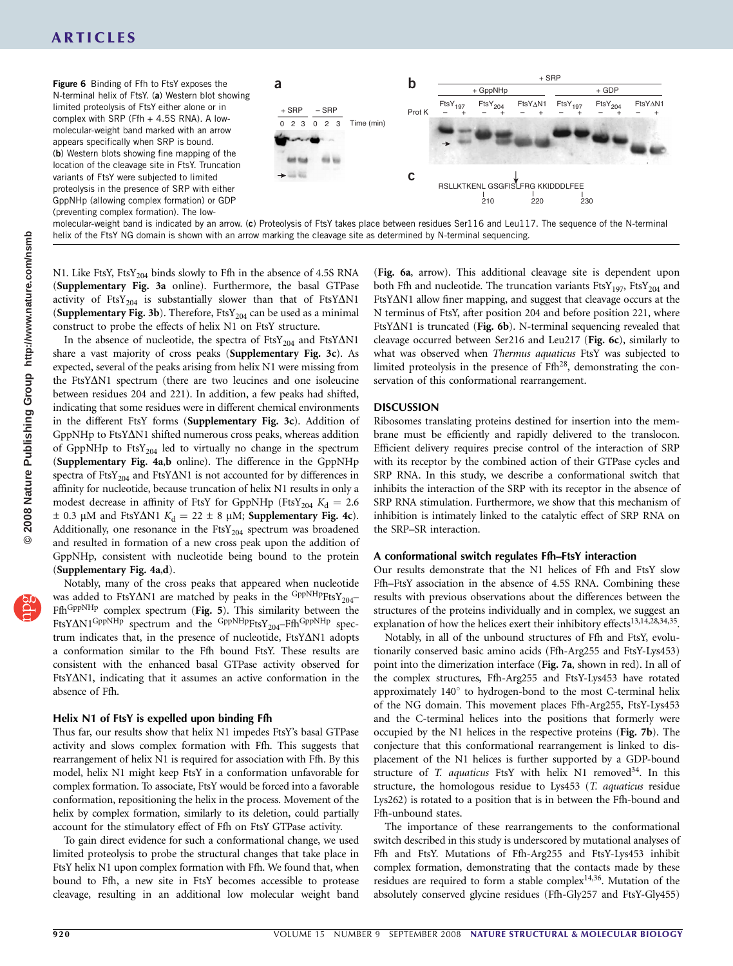# ARTICLES



molecular-weight band is indicated by an arrow. (c) Proteolysis of FtsY takes place between residues Ser116 and Leu117. The sequence of the N-terminal helix of the FtsY NG domain is shown with an arrow marking the cleavage site as determined by N-terminal sequencing.

N1. Like FtsY, FtsY<sub>204</sub> binds slowly to Ffh in the absence of 4.5S RNA (Supplementary Fig. 3a online). Furthermore, the basal GTPase activity of FtsY<sub>204</sub> is substantially slower than that of FtsY $\Delta$ N1 (Supplementary Fig. 3b). Therefore,  $FtsY_{204}$  can be used as a minimal construct to probe the effects of helix N1 on FtsY structure.

In the absence of nucleotide, the spectra of  $FtsY_{204}$  and  $FtsY\Delta N1$ share a vast majority of cross peaks (Supplementary Fig. 3c). As expected, several of the peaks arising from helix N1 were missing from the FtsY $\Delta$ N1 spectrum (there are two leucines and one isoleucine between residues 204 and 221). In addition, a few peaks had shifted, indicating that some residues were in different chemical environments in the different FtsY forms (Supplementary Fig. 3c). Addition of  $GppNHp$  to FtsY $\Delta$ N1 shifted numerous cross peaks, whereas addition of GppNHp to  $FtsY_{204}$  led to virtually no change in the spectrum (Supplementary Fig. 4a,b online). The difference in the GppNHp spectra of FtsY<sub>204</sub> and FtsY $\Delta$ N1 is not accounted for by differences in affinity for nucleotide, because truncation of helix N1 results in only a modest decrease in affinity of FtsY for GppNHp (FtsY<sub>204</sub>  $K_d = 2.6$ )  $\pm$  0.3 µM and FtsY $\Delta$ N1  $K_d$  = 22  $\pm$  8 µM; Supplementary Fig. 4c). Additionally, one resonance in the  $FtsY_{204}$  spectrum was broadened and resulted in formation of a new cross peak upon the addition of GppNHp, consistent with nucleotide being bound to the protein (Supplementary Fig. 4a,d).

Notably, many of the cross peaks that appeared when nucleotide was added to FtsY $\Delta$ N1 are matched by peaks in the GppNHpFtsY<sub>204</sub>– Ffh<sup>GppNHp</sup> complex spectrum (Fig. 5). This similarity between the FtsY $\Delta$ N1<sup>GppNHp</sup> spectrum and the <sup>GppNHp</sup>FtsY<sub>204</sub>–Ffh<sup>GppNHp</sup> spectrum indicates that, in the presence of nucleotide, FtsYAN1 adopts a conformation similar to the Ffh bound FtsY. These results are consistent with the enhanced basal GTPase activity observed for  $FtsY\Delta N1$ , indicating that it assumes an active conformation in the absence of Ffh.

### Helix N1 of FtsY is expelled upon binding Ffh

Thus far, our results show that helix N1 impedes FtsY's basal GTPase activity and slows complex formation with Ffh. This suggests that rearrangement of helix N1 is required for association with Ffh. By this model, helix N1 might keep FtsY in a conformation unfavorable for complex formation. To associate, FtsY would be forced into a favorable conformation, repositioning the helix in the process. Movement of the helix by complex formation, similarly to its deletion, could partially account for the stimulatory effect of Ffh on FtsY GTPase activity.

To gain direct evidence for such a conformational change, we used limited proteolysis to probe the structural changes that take place in FtsY helix N1 upon complex formation with Ffh. We found that, when bound to Ffh, a new site in FtsY becomes accessible to protease cleavage, resulting in an additional low molecular weight band (Fig. 6a, arrow). This additional cleavage site is dependent upon both Ffh and nucleotide. The truncation variants  $FtsY_{197}$ ,  $FtsY_{204}$  and FtsY $\Delta$ N1 allow finer mapping, and suggest that cleavage occurs at the N terminus of FtsY, after position 204 and before position 221, where FtsY $\Delta$ N1 is truncated (Fig. 6b). N-terminal sequencing revealed that cleavage occurred between Ser216 and Leu217 (Fig. 6c), similarly to what was observed when Thermus aquaticus FtsY was subjected to limited proteolysis in the presence of  $Ffh^{28}$ , demonstrating the conservation of this conformational rearrangement.

### DISCUSSION

Ribosomes translating proteins destined for insertion into the membrane must be efficiently and rapidly delivered to the translocon. Efficient delivery requires precise control of the interaction of SRP with its receptor by the combined action of their GTPase cycles and SRP RNA. In this study, we describe a conformational switch that inhibits the interaction of the SRP with its receptor in the absence of SRP RNA stimulation. Furthermore, we show that this mechanism of inhibition is intimately linked to the catalytic effect of SRP RNA on the SRP–SR interaction.

### A conformational switch regulates Ffh–FtsY interaction

Our results demonstrate that the N1 helices of Ffh and FtsY slow Ffh–FtsY association in the absence of 4.5S RNA. Combining these results with previous observations about the differences between the structures of the proteins individually and in complex, we suggest an explanation of how the helices exert their inhibitory effects<sup>13,14,28,34,35</sup>.

Notably, in all of the unbound structures of Ffh and FtsY, evolutionarily conserved basic amino acids (Ffh-Arg255 and FtsY-Lys453) point into the dimerization interface (Fig. 7a, shown in red). In all of the complex structures, Ffh-Arg255 and FtsY-Lys453 have rotated approximately  $140^\circ$  to hydrogen-bond to the most C-terminal helix of the NG domain. This movement places Ffh-Arg255, FtsY-Lys453 and the C-terminal helices into the positions that formerly were occupied by the N1 helices in the respective proteins (Fig. 7b). The conjecture that this conformational rearrangement is linked to displacement of the N1 helices is further supported by a GDP-bound structure of T. aquaticus FtsY with helix N1 removed<sup>[34](#page-7-0)</sup>. In this structure, the homologous residue to Lys453 (T. aquaticus residue Lys262) is rotated to a position that is in between the Ffh-bound and Ffh-unbound states.

The importance of these rearrangements to the conformational switch described in this study is underscored by mutational analyses of Ffh and FtsY. Mutations of Ffh-Arg255 and FtsY-Lys453 inhibit complex formation, demonstrating that the contacts made by these residues are required to form a stable complex<sup>14,36</sup>. Mutation of the absolutely conserved glycine residues (Ffh-Gly257 and FtsY-Gly455)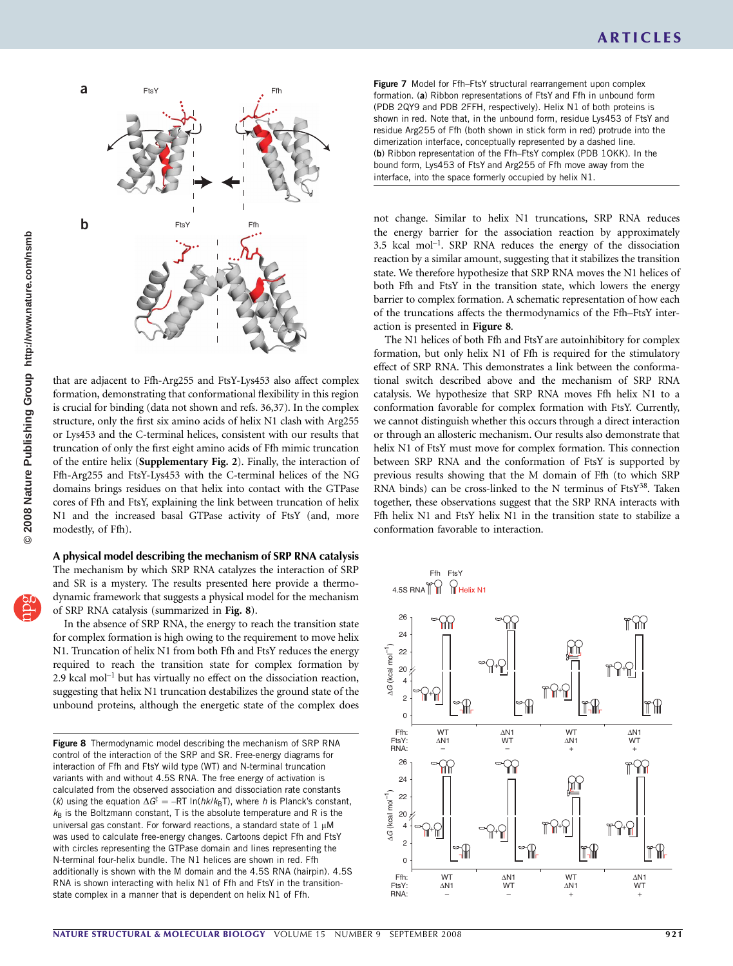

that are adjacent to Ffh-Arg255 and FtsY-Lys453 also affect complex formation, demonstrating that conformational flexibility in this region is crucial for binding (data not shown and refs. 36,37). In the complex structure, only the first six amino acids of helix N1 clash with Arg255 or Lys453 and the C-terminal helices, consistent with our results that truncation of only the first eight amino acids of Ffh mimic truncation of the entire helix (Supplementary Fig. 2). Finally, the interaction of Ffh-Arg255 and FtsY-Lys453 with the C-terminal helices of the NG domains brings residues on that helix into contact with the GTPase cores of Ffh and FtsY, explaining the link between truncation of helix N1 and the increased basal GTPase activity of FtsY (and, more modestly, of Ffh).

# A physical model describing the mechanism of SRP RNA catalysis

The mechanism by which SRP RNA catalyzes the interaction of SRP and SR is a mystery. The results presented here provide a thermodynamic framework that suggests a physical model for the mechanism of SRP RNA catalysis (summarized in Fig. 8).

In the absence of SRP RNA, the energy to reach the transition state for complex formation is high owing to the requirement to move helix N1. Truncation of helix N1 from both Ffh and FtsY reduces the energy required to reach the transition state for complex formation by  $2.9$  kcal mol<sup>-1</sup> but has virtually no effect on the dissociation reaction, suggesting that helix N1 truncation destabilizes the ground state of the unbound proteins, although the energetic state of the complex does

Figure 8 Thermodynamic model describing the mechanism of SRP RNA control of the interaction of the SRP and SR. Free-energy diagrams for interaction of Ffh and FtsY wild type (WT) and N-terminal truncation variants with and without 4.5S RNA. The free energy of activation is calculated from the observed association and dissociation rate constants (k) using the equation  $\Delta G^{\dagger} = -RT \ln(hk/k_{\text{B}}T)$ , where h is Planck's constant,  $k_B$  is the Boltzmann constant, T is the absolute temperature and R is the universal gas constant. For forward reactions, a standard state of  $1 \mu M$ was used to calculate free-energy changes. Cartoons depict Ffh and FtsY with circles representing the GTPase domain and lines representing the N-terminal four-helix bundle. The N1 helices are shown in red. Ffh additionally is shown with the M domain and the 4.5S RNA (hairpin). 4.5S RNA is shown interacting with helix N1 of Ffh and FtsY in the transitionstate complex in a manner that is dependent on helix N1 of Ffh.

Figure 7 Model for Ffh–FtsY structural rearrangement upon complex formation. (a) Ribbon representations of FtsY and Ffh in unbound form (PDB 2QY9 and PDB 2FFH, respectively). Helix N1 of both proteins is shown in red. Note that, in the unbound form, residue Lys453 of FtsY and residue Arg255 of Ffh (both shown in stick form in red) protrude into the dimerization interface, conceptually represented by a dashed line. (b) Ribbon representation of the Ffh–FtsY complex (PDB 1OKK). In the bound form, Lys453 of FtsY and Arg255 of Ffh move away from the interface, into the space formerly occupied by helix N1.

not change. Similar to helix N1 truncations, SRP RNA reduces the energy barrier for the association reaction by approximately  $3.5$  kcal mol<sup>-1</sup>. SRP RNA reduces the energy of the dissociation reaction by a similar amount, suggesting that it stabilizes the transition state. We therefore hypothesize that SRP RNA moves the N1 helices of both Ffh and FtsY in the transition state, which lowers the energy barrier to complex formation. A schematic representation of how each of the truncations affects the thermodynamics of the Ffh–FtsY interaction is presented in Figure 8.

The N1 helices of both Ffh and FtsY are autoinhibitory for complex formation, but only helix N1 of Ffh is required for the stimulatory effect of SRP RNA. This demonstrates a link between the conformational switch described above and the mechanism of SRP RNA catalysis. We hypothesize that SRP RNA moves Ffh helix N1 to a conformation favorable for complex formation with FtsY. Currently, we cannot distinguish whether this occurs through a direct interaction or through an allosteric mechanism. Our results also demonstrate that helix N1 of FtsY must move for complex formation. This connection between SRP RNA and the conformation of FtsY is supported by previous results showing that the M domain of Ffh (to which SRP RNA binds) can be cross-linked to the N terminus of  $FtsY^{38}$ . Taken together, these observations suggest that the SRP RNA interacts with Ffh helix N1 and FtsY helix N1 in the transition state to stabilize a conformation favorable to interaction.

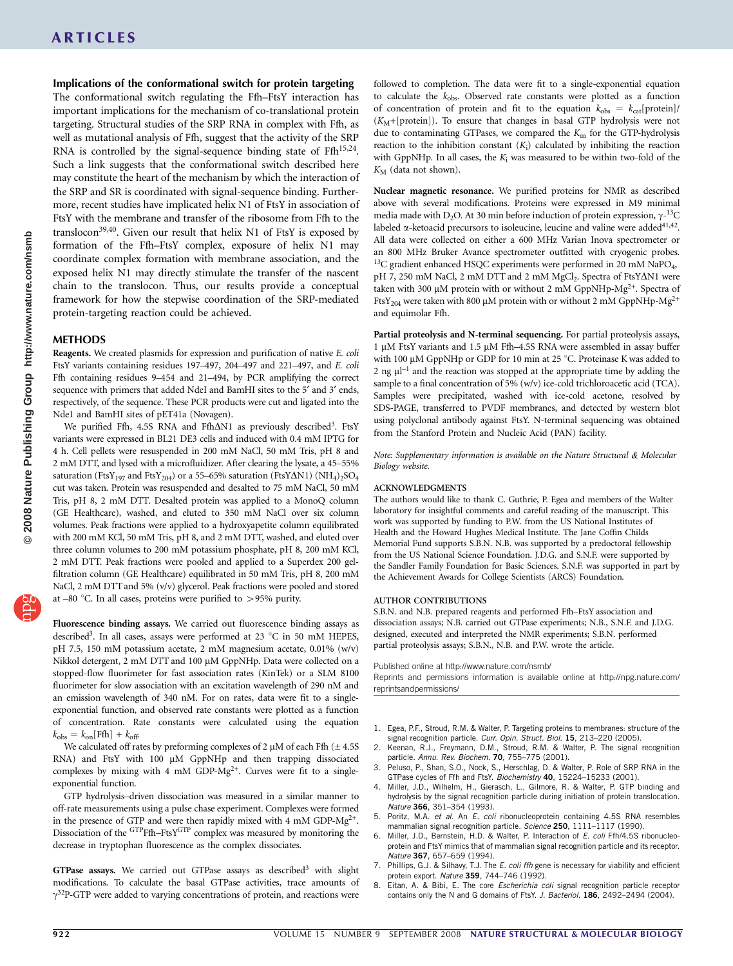<span id="page-6-0"></span>Implications of the conformational switch for protein targeting The conformational switch regulating the Ffh–FtsY interaction has important implications for the mechanism of co-translational protein targeting. Structural studies of the SRP RNA in complex with Ffh, as well as mutational analysis of Ffh, suggest that the activity of the SRP RNA is controlled by the signal-sequence binding state of  $Ffh^{15,24}$ . Such a link suggests that the conformational switch described here may constitute the heart of the mechanism by which the interaction of the SRP and SR is coordinated with signal-sequence binding. Furthermore, recent studies have implicated helix N1 of FtsY in association of FtsY with the membrane and transfer of the ribosome from Ffh to the translocon<sup>39,40</sup>. Given our result that helix N1 of FtsY is exposed by formation of the Ffh–FtsY complex, exposure of helix N1 may coordinate complex formation with membrane association, and the exposed helix N1 may directly stimulate the transfer of the nascent chain to the translocon. Thus, our results provide a conceptual framework for how the stepwise coordination of the SRP-mediated protein-targeting reaction could be achieved.

### METHODS

Reagents. We created plasmids for expression and purification of native E. coli FtsY variants containing residues 197–497, 204–497 and 221–497, and E. coli Ffh containing residues 9–454 and 21–494, by PCR amplifying the correct sequence with primers that added NdeI and BamHI sites to the 5' and 3' ends, respectively, of the sequence. These PCR products were cut and ligated into the Nde1 and BamHI sites of pET41a (Novagen).

We purified Ffh, 4.5S RNA and Ffh $\Delta$ N1 as previously described<sup>3</sup>. FtsY variants were expressed in BL21 DE3 cells and induced with 0.4 mM IPTG for 4 h. Cell pellets were resuspended in 200 mM NaCl, 50 mM Tris, pH 8 and 2 mM DTT, and lysed with a microfluidizer. After clearing the lysate, a 45–55% saturation (FtsY<sub>197</sub> and FtsY<sub>204</sub>) or a 55-65% saturation (FtsY $\Delta$ N1) (NH<sub>4</sub>)<sub>2</sub>SO<sub>4</sub> cut was taken. Protein was resuspended and desalted to 75 mM NaCl, 50 mM Tris, pH 8, 2 mM DTT. Desalted protein was applied to a MonoQ column (GE Healthcare), washed, and eluted to 350 mM NaCl over six column volumes. Peak fractions were applied to a hydroxyapetite column equilibrated with 200 mM KCl, 50 mM Tris, pH 8, and 2 mM DTT, washed, and eluted over three column volumes to 200 mM potassium phosphate, pH 8, 200 mM KCl, 2 mM DTT. Peak fractions were pooled and applied to a Superdex 200 gelfiltration column (GE Healthcare) equilibrated in 50 mM Tris, pH 8, 200 mM NaCl, 2 mM DTT and 5% (v/v) glycerol. Peak fractions were pooled and stored at –80 °C. In all cases, proteins were purified to  $>$ 95% purity.

Fluorescence binding assays. We carried out fluorescence binding assays as described<sup>3</sup>. In all cases, assays were performed at 23  $^{\circ}$ C in 50 mM HEPES, pH 7.5, 150 mM potassium acetate, 2 mM magnesium acetate, 0.01% (w/v) Nikkol detergent, 2 mM DTT and 100 µM GppNHp. Data were collected on a stopped-flow fluorimeter for fast association rates (KinTek) or a SLM 8100 fluorimeter for slow association with an excitation wavelength of 290 nM and an emission wavelength of 340 nM. For on rates, data were fit to a singleexponential function, and observed rate constants were plotted as a function of concentration. Rate constants were calculated using the equation  $k_{\text{obs}} = k_{\text{on}}[\text{Ffh}] + k_{\text{off}}.$ 

We calculated off rates by preforming complexes of 2  $\mu$ M of each Ffh ( $\pm$  4.5S RNA) and FtsY with 100 µM GppNHp and then trapping dissociated complexes by mixing with 4 mM GDP- $Mg^{2+}$ . Curves were fit to a singleexponential function.

GTP hydrolysis–driven dissociation was measured in a similar manner to off-rate measurements using a pulse chase experiment. Complexes were formed in the presence of GTP and were then rapidly mixed with 4 mM GDP- $Mg^{2+}$ . Dissociation of the <sup>GTP</sup>Ffh-FtsY<sup>GTP</sup> complex was measured by monitoring the decrease in tryptophan fluorescence as the complex dissociates.

GTPase assays. We carried out GTPase assays as described<sup>3</sup> with slight modifications. To calculate the basal GTPase activities, trace amounts of  $\gamma^{32}P$ -GTP were added to varying concentrations of protein, and reactions were

followed to completion. The data were fit to a single-exponential equation to calculate the  $k_{obs}$ . Observed rate constants were plotted as a function of concentration of protein and fit to the equation  $k_{obs} = k_{cat}[\text{protein}]/$  $(K_M+[protein])$ . To ensure that changes in basal GTP hydrolysis were not due to contaminating GTPases, we compared the  $K<sub>m</sub>$  for the GTP-hydrolysis reaction to the inhibition constant  $(K_i)$  calculated by inhibiting the reaction with GppNHp. In all cases, the  $K_i$  was measured to be within two-fold of the  $K_M$  (data not shown).

Nuclear magnetic resonance. We purified proteins for NMR as described above with several modifications. Proteins were expressed in M9 minimal media made with  $D_2O$ . At 30 min before induction of protein expression,  $\gamma^{-13}C$ labeled  $\alpha$ -ketoacid precursors to isoleucine, leucine and valine were added<sup>41,42</sup>. All data were collected on either a 600 MHz Varian Inova spectrometer or an 800 MHz Bruker Avance spectrometer outfitted with cryogenic probes. <sup>13</sup>C gradient enhanced HSQC experiments were performed in 20 mM NaPO<sub>4</sub>, pH 7, 250 mM NaCl, 2 mM DTT and 2 mM MgCl<sub>2</sub>. Spectra of FtsY $\Delta$ N1 were taken with 300 µM protein with or without 2 mM GppNHp-Mg<sup>2+</sup>. Spectra of FtsY<sub>204</sub> were taken with 800 µM protein with or without 2 mM GppNHp-Mg<sup>2+</sup> and equimolar Ffh.

Partial proteolysis and N-terminal sequencing. For partial proteolysis assays, 1 μM FtsY variants and 1.5 μM Ffh-4.5S RNA were assembled in assay buffer with 100  $\mu$ M GppNHp or GDP for 10 min at 25 °C. Proteinase K was added to 2 ng  $\mu$ I<sup>-1</sup> and the reaction was stopped at the appropriate time by adding the sample to a final concentration of 5% (w/v) ice-cold trichloroacetic acid (TCA). Samples were precipitated, washed with ice-cold acetone, resolved by SDS-PAGE, transferred to PVDF membranes, and detected by western blot using polyclonal antibody against FtsY. N-terminal sequencing was obtained from the Stanford Protein and Nucleic Acid (PAN) facility.

Note: Supplementary information is available on the [Nature Structural](http://www.nature.com/nsmb/) *&* [Molecular](http://www.nature.com/nsmb/) [Biology](http://www.nature.com/nsmb/) website.

### ACKNOWLEDGMENTS

The authors would like to thank C. Guthrie, P. Egea and members of the Walter laboratory for insightful comments and careful reading of the manuscript. This work was supported by funding to P.W. from the US National Institutes of Health and the Howard Hughes Medical Institute. The Jane Coffin Childs Memorial Fund supports S.B.N. N.B. was supported by a predoctoral fellowship from the US National Science Foundation. J.D.G. and S.N.F. were supported by the Sandler Family Foundation for Basic Sciences. S.N.F. was supported in part by the Achievement Awards for College Scientists (ARCS) Foundation.

#### AUTHOR CONTRIBUTIONS

S.B.N. and N.B. prepared reagents and performed Ffh–FtsY association and dissociation assays; N.B. carried out GTPase experiments; N.B., S.N.F. and J.D.G. designed, executed and interpreted the NMR experiments; S.B.N. performed partial proteolysis assays; S.B.N., N.B. and P.W. wrote the article.

Published online at<http://www.nature.com/nsmb/>

Reprints and permissions information is available online at [http://npg.nature.com/](http://npg.nature.com/reprintsandpermissions/) [reprintsandpermissions/](http://npg.nature.com/reprintsandpermissions/)

- 1. Egea, P.F., Stroud, R.M. & Walter, P. Targeting proteins to membranes: structure of the
- signal recognition particle. *Curr. Opin. Struct. Biol.* 15, 213–220 (2005).<br>2. Keenan, R.J., Freymann, D.M., Stroud, R.M. & Walter, P. The signal recognition particle. Annu. Rev. Biochem. 70, 755–775 (2001).
- 3. Peluso, P., Shan, S.O., Nock, S., Herschlag, D. & Walter, P. Role of SRP RNA in the GTPase cycles of Ffh and FtsY. Biochemistry 40, 15224–15233 (2001).
- 4. Miller, J.D., Wilhelm, H., Gierasch, L., Gilmore, R. & Walter, P. GTP binding and hydrolysis by the signal recognition particle during initiation of protein translocation. Nature 366, 351-354 (1993).
- Poritz, M.A. et al. An E. coli ribonucleoprotein containing 4.5S RNA resembles mammalian signal recognition particle. Science 250, 1111-1117 (1990).
- 6. Miller, J.D., Bernstein, H.D. & Walter, P. Interaction of E. coli Ffh/4.5S ribonucleoprotein and FtsY mimics that of mammalian signal recognition particle and its receptor. Nature 367, 657-659 (1994).
- 7. Phillips, G.J. & Silhavy, T.J. The E. coli ffh gene is necessary for viability and efficient protein export. Nature 359, 744–746 (1992).
- 8. Eitan, A. & Bibi, E. The core Escherichia coli signal recognition particle receptor contains only the N and G domains of FtsY. J. Bacteriol. 186, 2492-2494 (2004).